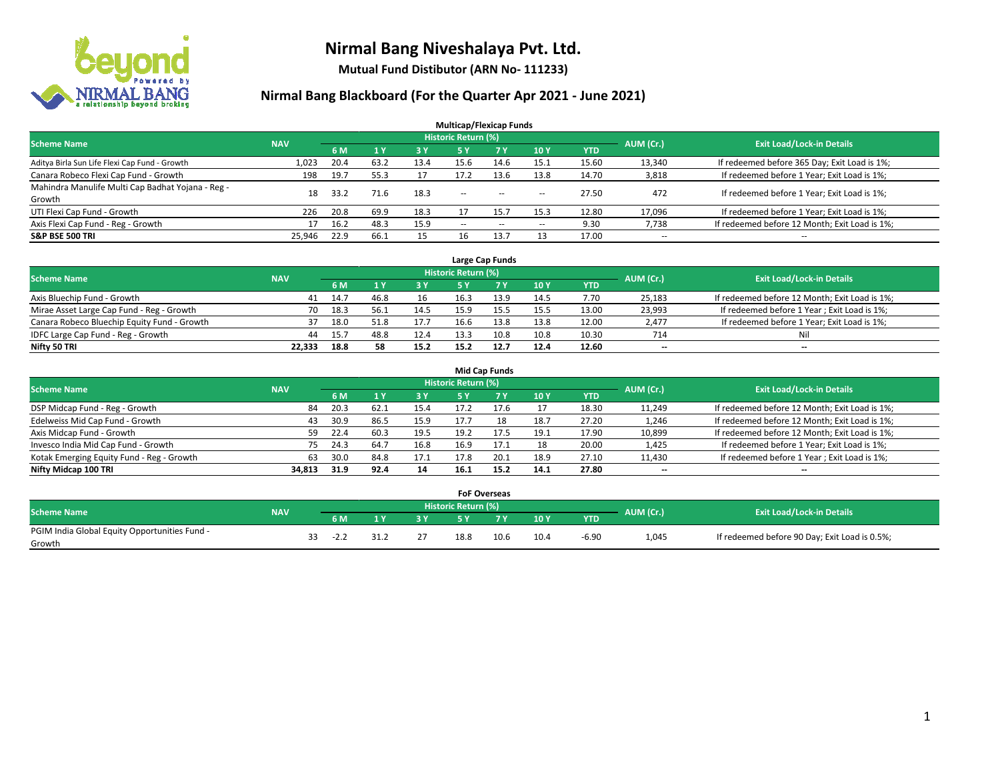

**Mutual Fund Distibutor (ARN No- 111233)**

| <b>Multicap/Flexicap Funds</b>                    |            |      |                |            |                            |        |        |            |                          |                                               |  |  |  |
|---------------------------------------------------|------------|------|----------------|------------|----------------------------|--------|--------|------------|--------------------------|-----------------------------------------------|--|--|--|
| <b>Scheme Name</b>                                | <b>NAV</b> |      |                |            | <b>Historic Return (%)</b> |        |        |            | AUM (Cr.)                | <b>Exit Load/Lock-in Details</b>              |  |  |  |
|                                                   |            | 6 M  | 1 <sub>V</sub> | <b>3 Y</b> | 5 Y                        | 7Y     | 10Y    | <b>YTD</b> |                          |                                               |  |  |  |
| Aditya Birla Sun Life Flexi Cap Fund - Growth     | 1,023      | 20.4 | 63.2           | 13.4       | 15.6                       | 14.6   | 15.1   | 15.60      | 13,340                   | If redeemed before 365 Day; Exit Load is 1%;  |  |  |  |
| Canara Robeco Flexi Cap Fund - Growth             | 198        | 19.7 | 55.3           | 17         | 17.2                       | 13.6   | 13.8   | 14.70      | 3,818                    | If redeemed before 1 Year; Exit Load is 1%;   |  |  |  |
| Mahindra Manulife Multi Cap Badhat Yojana - Reg - | 18         | 33.2 | 71.6           | 18.3       | $\sim$ $\sim$              | $\sim$ |        | 27.50      | 472                      | If redeemed before 1 Year; Exit Load is 1%;   |  |  |  |
| Growth                                            |            |      |                |            |                            |        | $\sim$ |            |                          |                                               |  |  |  |
| UTI Flexi Cap Fund - Growth                       | 226        | 20.8 | 69.9           | 18.3       |                            | 15.7   | 15.3   | 12.80      | 17,096                   | If redeemed before 1 Year; Exit Load is 1%;   |  |  |  |
| Axis Flexi Cap Fund - Reg - Growth                |            | 16.2 | 48.3           | 15.9       | $\overline{\phantom{a}}$   | $-$    | --     | 9.30       | 7,738                    | If redeemed before 12 Month; Exit Load is 1%; |  |  |  |
| <b>S&amp;P BSE 500 TRI</b>                        | 25,946     | 22.9 | 66.1           | 15         | 16                         | 13.7   |        | 17.00      | $\overline{\phantom{a}}$ | $- -$                                         |  |  |  |

|                                             |            |      |      |      |                     | Large Cap Funds |      |       |           |                                               |
|---------------------------------------------|------------|------|------|------|---------------------|-----------------|------|-------|-----------|-----------------------------------------------|
| <b>Scheme Name</b>                          | <b>NAV</b> |      |      |      | Historic Return (%) |                 |      |       | AUM (Cr.) | <b>Exit Load/Lock-in Details</b>              |
|                                             |            | 6 M  |      | 3Y   |                     | 7 Y             | 10Y  | YTD   |           |                                               |
| Axis Bluechip Fund - Growth                 | 41         | 14.7 | 46.8 | 16   | 16.3                |                 | 14.5 | 7.70  | 25,183    | If redeemed before 12 Month; Exit Load is 1%; |
| Mirae Asset Large Cap Fund - Reg - Growth   | 70         | 18.3 | 56.1 | 14.5 | 15.9                |                 | 15.5 | 13.00 | 23,993    | If redeemed before 1 Year; Exit Load is 1%;   |
| Canara Robeco Bluechip Equity Fund - Growth |            | 18.0 | 51.8 | 17.7 | 16.6                | 13.8            | 13.8 | 12.00 | 2,477     | If redeemed before 1 Year; Exit Load is 1%;   |
| IDFC Large Cap Fund - Reg - Growth          | 44         | 15.7 | 48.8 | 12.4 | 13.3                | 10.8            | 10.8 | 10.30 | 714       | Nil                                           |
| Nifty 50 TRI                                | 22.333     | 18.8 | 58   | 15.2 | 15.2                | 12.7            | 12.4 | 12.60 | $- -$     | $\overline{\phantom{a}}$                      |

| <b>Mid Cap Funds</b>                      |            |           |                                  |           |      |      |      |            |                          |                                               |  |  |  |
|-------------------------------------------|------------|-----------|----------------------------------|-----------|------|------|------|------------|--------------------------|-----------------------------------------------|--|--|--|
| <b>Scheme Name</b>                        | <b>NAV</b> | AUM (Cr.) | <b>Exit Load/Lock-in Details</b> |           |      |      |      |            |                          |                                               |  |  |  |
|                                           |            | 6 M       |                                  | <b>3Y</b> | 5 Y  |      | 10Y  | <b>YTD</b> |                          |                                               |  |  |  |
| DSP Midcap Fund - Reg - Growth            | 84         | 20.3      | 62.1                             | 15.4      | 17.2 | 17.6 |      | 18.30      | 11,249                   | If redeemed before 12 Month; Exit Load is 1%; |  |  |  |
| Edelweiss Mid Cap Fund - Growth           | 43         | 30.9      | 86.5                             | 15.9      | 17.7 |      | 18.7 | 27.20      | 1,246                    | If redeemed before 12 Month; Exit Load is 1%; |  |  |  |
| Axis Midcap Fund - Growth                 | 59         | 22.4      | 60.3                             | 19.5      | 19.2 | 17.5 | 19.1 | 17.90      | 10,899                   | If redeemed before 12 Month; Exit Load is 1%; |  |  |  |
| Invesco India Mid Cap Fund - Growth       | 75         | 24.3      | 64.7                             | 16.8      | 16.9 | 17.1 | 18   | 20.00      | 1,425                    | If redeemed before 1 Year; Exit Load is 1%;   |  |  |  |
| Kotak Emerging Equity Fund - Reg - Growth | 63         | 30.0      | 84.8                             | 17.1      | 17.8 | 20.1 | 18.9 | 27.10      | 11,430                   | If redeemed before 1 Year; Exit Load is 1%;   |  |  |  |
| Nifty Midcap 100 TRI                      | 34.813     | 31.9      | 92.4                             | 14        | 16.1 | 15.2 | 14.1 | 27.80      | $\overline{\phantom{m}}$ | $\overline{\phantom{a}}$                      |  |  |  |

|                                                         |            |      |    |     | <b>FoF Overseas</b>        |      |      |            |           |                                               |
|---------------------------------------------------------|------------|------|----|-----|----------------------------|------|------|------------|-----------|-----------------------------------------------|
| Scheme Name                                             | <b>NAV</b> |      |    |     | <b>Historic Return (%)</b> |      |      |            | AUM (Cr.) | <b>Exit Load/Lock-in Details</b>              |
|                                                         |            | 6 M  |    | ש כ |                            | 7 V  | 10Y  | <b>YTD</b> |           |                                               |
| PGIM India Global Equity Opportunities Fund -<br>Growth |            | -2.Z | 21 | 27  | 18.8                       | 10.6 | 10.4 | $-6.90$    | 1,045     | If redeemed before 90 Day; Exit Load is 0.5%; |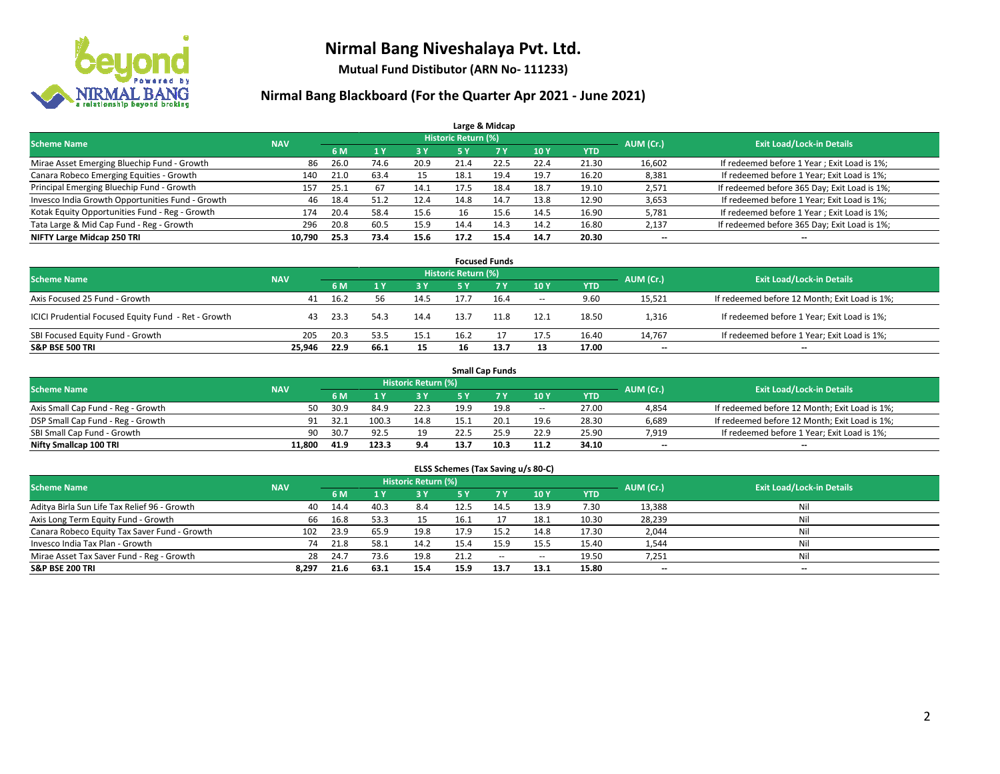

**Mutual Fund Distibutor (ARN No- 111233)**

| Large & Midcap                                   |            |      |      |            |                            |      |      |            |           |                                              |  |  |  |  |
|--------------------------------------------------|------------|------|------|------------|----------------------------|------|------|------------|-----------|----------------------------------------------|--|--|--|--|
| <b>Scheme Name</b>                               | <b>NAV</b> |      |      |            | <b>Historic Return (%)</b> |      |      |            | AUM (Cr.) | <b>Exit Load/Lock-in Details</b>             |  |  |  |  |
|                                                  |            | 6 M  |      | <b>3 Y</b> | 5 Y                        | 7 Y  | 10Y  | <b>YTD</b> |           |                                              |  |  |  |  |
| Mirae Asset Emerging Bluechip Fund - Growth      | 86         | 26.0 | 74.6 | 20.9       | 21.4                       | 22.5 | 22.4 | 21.30      | 16,602    | If redeemed before 1 Year; Exit Load is 1%;  |  |  |  |  |
| Canara Robeco Emerging Equities - Growth         | 140        | 21.0 | 63.4 | 15         | 18.1                       | 19.4 | 19.7 | 16.20      | 8,381     | If redeemed before 1 Year; Exit Load is 1%;  |  |  |  |  |
| Principal Emerging Bluechip Fund - Growth        | 157        | 25.1 | 67   | 14.1       | 17.5                       | 18.4 | 18.7 | 19.10      | 2,571     | If redeemed before 365 Day; Exit Load is 1%; |  |  |  |  |
| Invesco India Growth Opportunities Fund - Growth | 46         | 18.4 | 51.2 | 12.4       | 14.8                       | 14.7 | 13.8 | 12.90      | 3,653     | If redeemed before 1 Year; Exit Load is 1%;  |  |  |  |  |
| Kotak Equity Opportunities Fund - Reg - Growth   | 174        | 20.4 | 58.4 | 15.6       | 16                         | 15.6 | 14.5 | 16.90      | 5,781     | If redeemed before 1 Year; Exit Load is 1%;  |  |  |  |  |
| Tata Large & Mid Cap Fund - Reg - Growth         | 296        | 20.8 | 60.5 | 15.9       | 14.4                       | 14.3 | 14.2 | 16.80      | 2,137     | If redeemed before 365 Day; Exit Load is 1%; |  |  |  |  |
| NIFTY Large Midcap 250 TRI                       | 10,790     | 25.3 | 73.4 | 15.6       | 17.2                       | 15.4 | 14.7 | 20.30      | --        | --                                           |  |  |  |  |

| <b>Focused Funds</b>                                |            |      |      |      |                     |      |        |            |           |                                               |  |  |  |
|-----------------------------------------------------|------------|------|------|------|---------------------|------|--------|------------|-----------|-----------------------------------------------|--|--|--|
| <b>Scheme Name</b>                                  | <b>NAV</b> |      |      |      | Historic Return (%) |      |        |            | AUM (Cr.) | <b>Exit Load/Lock-in Details</b>              |  |  |  |
|                                                     |            | 6 M  |      | 3 Y  | 5 ۷                 |      | 10Y    | <b>YTD</b> |           |                                               |  |  |  |
| Axis Focused 25 Fund - Growth                       | 41         | 16.2 | 56   | 14.5 |                     | 16.4 | $\sim$ | 9.60       | 15,521    | If redeemed before 12 Month; Exit Load is 1%; |  |  |  |
| ICICI Prudential Focused Equity Fund - Ret - Growth | 43         | 23.3 | 54.3 | 14.4 | 13.7                | 11.8 | 12.1   | 18.50      | 1,316     | If redeemed before 1 Year; Exit Load is 1%;   |  |  |  |
| SBI Focused Equity Fund - Growth                    | 205        | 20.3 | 53.5 | 15.1 | 16.2                |      | 17.5   | 16.40      | 14.767    | If redeemed before 1 Year; Exit Load is 1%;   |  |  |  |
| <b>S&amp;P BSE 500 TRI</b>                          | 25.946     | 22.9 | 66.1 | 15   | 16                  | 13.7 | 13     | 17.00      | $- -$     | $\overline{\phantom{a}}$                      |  |  |  |

| <b>Small Cap Funds</b>             |            |           |                                  |       |      |      |                          |       |       |                                               |  |  |  |
|------------------------------------|------------|-----------|----------------------------------|-------|------|------|--------------------------|-------|-------|-----------------------------------------------|--|--|--|
| <b>Scheme Name</b>                 | <b>NAV</b> | AUM (Cr.) | <b>Exit Load/Lock-in Details</b> |       |      |      |                          |       |       |                                               |  |  |  |
|                                    |            | 6 M       |                                  | 73 Y. |      |      | 10Y                      | YTD   |       |                                               |  |  |  |
| Axis Small Cap Fund - Reg - Growth | 50         | 30.9      | 84.9                             | 22.3  | 19.9 | 19.8 | $\overline{\phantom{a}}$ | 27.00 | 4,854 | If redeemed before 12 Month; Exit Load is 1%; |  |  |  |
| DSP Small Cap Fund - Reg - Growth  | 91         | 32.1      | 100.3                            | 14.8  | 15.1 | 20.1 | 19.6                     | 28.30 | 6,689 | If redeemed before 12 Month; Exit Load is 1%; |  |  |  |
| SBI Small Cap Fund - Growth        | 90         | 30.7      | 92.5                             | 19    | 22.5 | 25.9 | 22.9                     | 25.90 | 7,919 | If redeemed before 1 Year; Exit Load is 1%;   |  |  |  |
| Nifty Smallcap 100 TRI             | 11.800     | 41.9      | 123.3                            | 9.4   | 13.  | 10.3 | 11.2                     | 34.10 | $- -$ | $\overline{\phantom{a}}$                      |  |  |  |

| ELSS Schemes (Tax Saving u/s 80-C)                                                                       |       |      |                |      |           |            |                          |            |        |                          |  |  |  |  |
|----------------------------------------------------------------------------------------------------------|-------|------|----------------|------|-----------|------------|--------------------------|------------|--------|--------------------------|--|--|--|--|
| Historic Return (%)<br><b>Exit Load/Lock-in Details</b><br>AUM (Cr.)<br><b>Scheme Name</b><br><b>NAV</b> |       |      |                |      |           |            |                          |            |        |                          |  |  |  |  |
|                                                                                                          |       | 6 M  | 1 <sup>1</sup> | 3 Y  | <b>5Y</b> | <b>77Y</b> | <b>10Y</b>               | <b>YTD</b> |        |                          |  |  |  |  |
| Aditya Birla Sun Life Tax Relief 96 - Growth                                                             | 40    | 14.4 | 40.3           | 8.4  | 12.5      | 14.5       | 13.9                     | 7.30       | 13,388 | Nil                      |  |  |  |  |
| Axis Long Term Equity Fund - Growth                                                                      | 66    | 16.8 | 53.3           | 15   | 16.1      |            | 18.1                     | 10.30      | 28,239 | Nil                      |  |  |  |  |
| Canara Robeco Equity Tax Saver Fund - Growth                                                             | 102   | 23.9 | 65.9           | 19.8 | 17.9      | 15.2       | 14.8                     | 17.30      | 2,044  | Nil                      |  |  |  |  |
| Invesco India Tax Plan - Growth                                                                          | 74    | 21.8 | 58.1           | 14.2 | 15.4      | 15.9       | 15.5                     | 15.40      | 1,544  | Nil                      |  |  |  |  |
| Mirae Asset Tax Saver Fund - Reg - Growth                                                                | 28    | 24.7 | 73.6           | 19.8 | 21.2      | $\sim$     | $\overline{\phantom{a}}$ | 19.50      | 7,251  | Nil                      |  |  |  |  |
| S&P BSE 200 TRI                                                                                          | 8.297 | 21.6 | 63.1           | 15.4 | 15.9      | 13.7       | 13.1                     | 15.80      | $- -$  | $\overline{\phantom{a}}$ |  |  |  |  |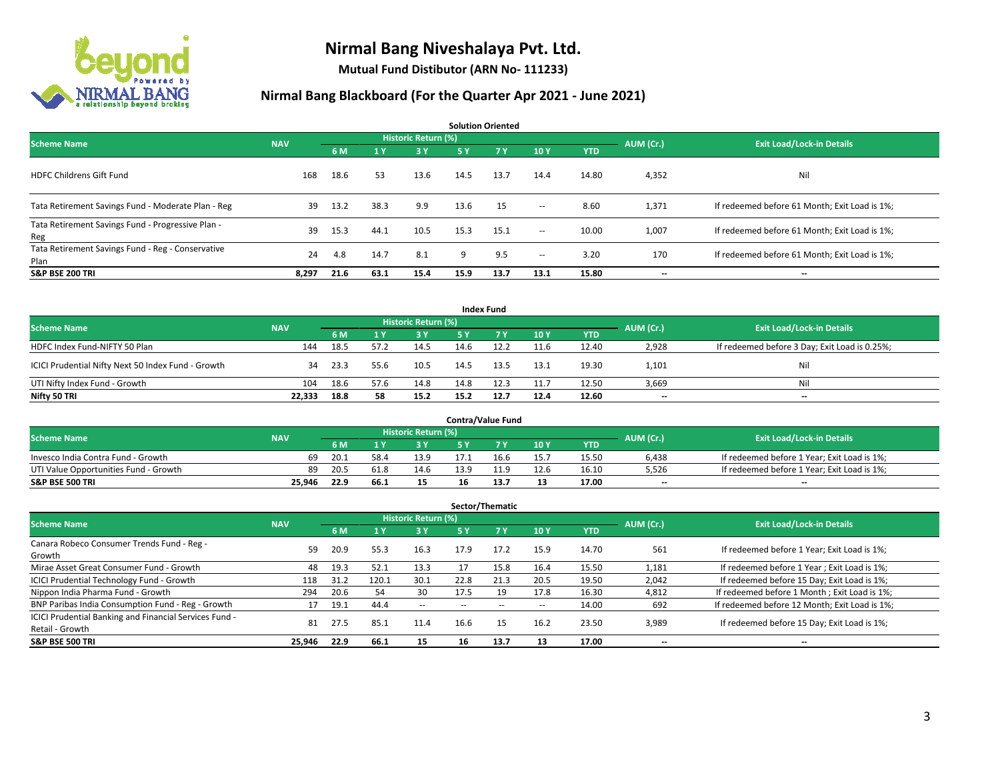

**Mutual Fund Distibutor (ARN No- 111233)**

| <b>Solution Oriented</b>                                  |            |      |                |                            |      |           |                          |            |           |                                               |  |  |  |
|-----------------------------------------------------------|------------|------|----------------|----------------------------|------|-----------|--------------------------|------------|-----------|-----------------------------------------------|--|--|--|
| <b>Scheme Name</b>                                        | <b>NAV</b> |      |                | <b>Historic Return (%)</b> |      |           |                          |            | AUM (Cr.) | <b>Exit Load/Lock-in Details</b>              |  |  |  |
|                                                           |            | 6 M  | 1 <sup>1</sup> | 73 Y.                      | 5 Y  | <b>7Y</b> | 10Y                      | <b>YTD</b> |           |                                               |  |  |  |
| <b>HDFC Childrens Gift Fund</b>                           | 168        | 18.6 | 53             | 13.6                       | 14.5 | 13.7      | 14.4                     | 14.80      | 4,352     | Nil                                           |  |  |  |
| Tata Retirement Savings Fund - Moderate Plan - Reg        | 39         | 13.2 | 38.3           | 9.9                        | 13.6 | 15        | $\sim$                   | 8.60       | 1,371     | If redeemed before 61 Month; Exit Load is 1%; |  |  |  |
| Tata Retirement Savings Fund - Progressive Plan -<br>Reg  | 39         | 15.3 | 44.1           | 10.5                       | 15.3 | 15.1      | $ -$                     | 10.00      | 1,007     | If redeemed before 61 Month; Exit Load is 1%; |  |  |  |
| Tata Retirement Savings Fund - Reg - Conservative<br>Plan | 24         | 4.8  | 14.7           | 8.1                        | 9    | 9.5       | $\overline{\phantom{a}}$ | 3.20       | 170       | If redeemed before 61 Month; Exit Load is 1%; |  |  |  |
| <b>S&amp;P BSE 200 TRI</b>                                | 8,297      | 21.6 | 63.1           | 15.4                       | 15.9 | 13.7      | 13.1                     | 15.80      | --        | $\hspace{0.05cm}$                             |  |  |  |

|                                                    |            |                                  |      |      |      | <b>Index Fund</b> |      |            |       |                                               |
|----------------------------------------------------|------------|----------------------------------|------|------|------|-------------------|------|------------|-------|-----------------------------------------------|
| <b>Scheme Name</b>                                 | AUM (Cr.)  | <b>Exit Load/Lock-in Details</b> |      |      |      |                   |      |            |       |                                               |
|                                                    | <b>NAV</b> | 6 M                              |      | 3 Y  | 5 Y  | <b>77 Y</b>       | 10Y  | <b>YTD</b> |       |                                               |
| HDFC Index Fund-NIFTY 50 Plan                      | 144        | 18.5                             | 57.2 | 14.5 | 14.6 |                   | 11.6 | 12.40      | 2,928 | If redeemed before 3 Day; Exit Load is 0.25%; |
| ICICI Prudential Nifty Next 50 Index Fund - Growth | 34         | 23.3                             | 55.6 | 10.5 | 14.5 | 13.5              | 13.1 | 19.30      | 1,101 | Nil                                           |
| UTI Nifty Index Fund - Growth                      | 104        | 18.6                             | 57.6 | 14.8 | 14.8 | 12.3              | 11.7 | 12.50      | 3,669 | Nil                                           |
| Nifty 50 TRI                                       | 22,333     | 18.8                             | 58   | 15.2 | 15.2 | 12.7              | 12.4 | 12.60      | $- -$ | $\overline{\phantom{a}}$                      |

|                                       |            |                                  |      |      |      | <b>Contra/Value Fund</b> |      |       |       |                                             |
|---------------------------------------|------------|----------------------------------|------|------|------|--------------------------|------|-------|-------|---------------------------------------------|
| <b>Scheme Name</b>                    | AUM (Cr.)  | <b>Exit Load/Lock-in Details</b> |      |      |      |                          |      |       |       |                                             |
|                                       | <b>NAV</b> | 6 M                              |      | 3 Y  |      |                          | 10Y  | YTD   |       |                                             |
| Invesco India Contra Fund - Growth    | 69         | د.20                             | 58.  | 13.9 |      | 16.6                     | 15.7 | 15.50 | 6,438 | If redeemed before 1 Year; Exit Load is 1%; |
| UTI Value Opportunities Fund - Growth | 89         | 20.5                             | 61.8 | 14.6 | 13.9 | 11.9                     | 12.6 | 16.10 | 5,526 | If redeemed before 1 Year; Exit Load is 1%; |
| <b>S&amp;P BSE 500 TRI</b>            | 25.946     | 22.9                             | ∴66  | 15   | 16   | 13.7                     | 13   | 17.00 | $-$   | $- -$                                       |

| Sector/Thematic                                                           |            |      |                         |                            |      |      |      |            |           |                                               |  |  |  |
|---------------------------------------------------------------------------|------------|------|-------------------------|----------------------------|------|------|------|------------|-----------|-----------------------------------------------|--|--|--|
| <b>Scheme Name</b>                                                        | <b>NAV</b> |      |                         | <b>Historic Return (%)</b> |      |      |      |            | AUM (Cr.) | <b>Exit Load/Lock-in Details</b>              |  |  |  |
|                                                                           |            | 6 M  | $\mathbf{A} \mathbf{v}$ | <b>3Y</b>                  | 5 Y  | 7 Y  | 10Y  | <b>YTD</b> |           |                                               |  |  |  |
| Canara Robeco Consumer Trends Fund - Reg -<br>Growth                      | 59         | 20.9 | 55.3                    | 16.3                       | 17.9 | 17.2 | 15.9 | 14.70      | 561       | If redeemed before 1 Year; Exit Load is 1%;   |  |  |  |
| Mirae Asset Great Consumer Fund - Growth                                  | 48         | 19.3 | 52.1                    | 13.3                       |      | 15.8 | 16.4 | 15.50      | 1,181     | If redeemed before 1 Year; Exit Load is 1%;   |  |  |  |
| ICICI Prudential Technology Fund - Growth                                 | 118        | 31.2 | 120.1                   | 30.1                       | 22.8 | 21.3 | 20.5 | 19.50      | 2,042     | If redeemed before 15 Day; Exit Load is 1%;   |  |  |  |
| Nippon India Pharma Fund - Growth                                         | 294        | 20.6 | -54                     | 30                         | 17.5 | 19   | 17.8 | 16.30      | 4,812     | If redeemed before 1 Month; Exit Load is 1%;  |  |  |  |
| BNP Paribas India Consumption Fund - Reg - Growth                         |            | 19.1 | 44.4                    | $\sim$                     | --   | --   | --   | 14.00      | 692       | If redeemed before 12 Month; Exit Load is 1%; |  |  |  |
| ICICI Prudential Banking and Financial Services Fund -<br>Retail - Growth | 81         | 27.5 | 85.1                    | 11.4                       | 16.6 | 15   | 16.2 | 23.50      | 3,989     | If redeemed before 15 Day; Exit Load is 1%;   |  |  |  |
| <b>S&amp;P BSE 500 TRI</b>                                                | 25.946     | 22.9 | 66.1                    | 15                         | 16   | 13.7 | 13   | 17.00      | --        | --                                            |  |  |  |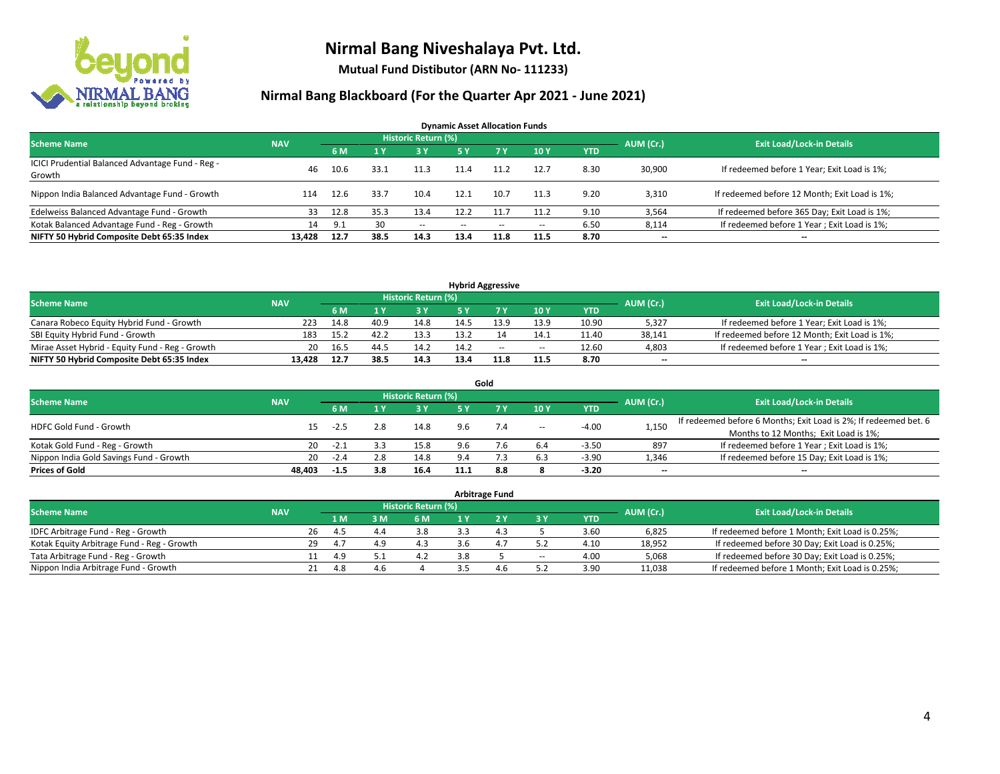

**Mutual Fund Distibutor (ARN No- 111233)**

| <b>Dynamic Asset Allocation Funds</b>                      |            |      |      |                            |               |       |                          |            |           |                                               |  |  |  |  |
|------------------------------------------------------------|------------|------|------|----------------------------|---------------|-------|--------------------------|------------|-----------|-----------------------------------------------|--|--|--|--|
| <b>Scheme Name</b>                                         | <b>NAV</b> |      |      | <b>Historic Return (%)</b> |               |       |                          |            | AUM (Cr.) | <b>Exit Load/Lock-in Details</b>              |  |  |  |  |
|                                                            |            | 6 M  |      | 3 Y                        | 5 Y           | 7 Y   | 10Y                      | <b>YTD</b> |           |                                               |  |  |  |  |
| ICICI Prudential Balanced Advantage Fund - Reg -<br>Growth | 46         | 10.6 | 33.1 | 11.3                       | 11.4          | 11.2  | 12.7                     | 8.30       | 30,900    | If redeemed before 1 Year; Exit Load is 1%;   |  |  |  |  |
| Nippon India Balanced Advantage Fund - Growth              | 114        | 12.6 | 33.7 | 10.4                       | 12.1          | 10.7  | 11.3                     | 9.20       | 3,310     | If redeemed before 12 Month; Exit Load is 1%; |  |  |  |  |
| Edelweiss Balanced Advantage Fund - Growth                 | 33         | 12.8 | 35.3 | 13.4                       | 12.2          | 11.7  | 11.2                     | 9.10       | 3,564     | If redeemed before 365 Day; Exit Load is 1%;  |  |  |  |  |
| Kotak Balanced Advantage Fund - Reg - Growth               | 14         | 9.1  | 30   | $\sim$                     | $\sim$ $\sim$ | $- -$ | $\overline{\phantom{a}}$ | 6.50       | 8,114     | If redeemed before 1 Year; Exit Load is 1%;   |  |  |  |  |
| NIFTY 50 Hybrid Composite Debt 65:35 Index                 | 13.428     | 12.7 | 38.5 | 14.3                       | 13.4          | 11.8  | 11.5                     | 8.70       | $- -$     | --                                            |  |  |  |  |

| <b>Hybrid Aggressive</b>                        |            |      |      |                     |      |        |                          |       |           |                                               |  |  |  |
|-------------------------------------------------|------------|------|------|---------------------|------|--------|--------------------------|-------|-----------|-----------------------------------------------|--|--|--|
| <b>Scheme Name</b>                              | <b>NAV</b> |      |      | Historic Return (%) |      |        |                          |       | AUM (Cr.) | <b>Exit Load/Lock-in Details</b>              |  |  |  |
|                                                 |            | 6 M  |      | 3 Y                 |      |        | 10Y                      | YTD   |           |                                               |  |  |  |
| Canara Robeco Equity Hybrid Fund - Growth       | 223        | 14.8 | 40.9 | 14.8                |      | 13.9   | 13.9                     | 10.90 | 5,327     | If redeemed before 1 Year; Exit Load is 1%;   |  |  |  |
| SBI Equity Hybrid Fund - Growth                 | 183        | 15.2 | 42.2 | 13.3                | 13.2 |        | 14.1                     | 11.40 | 38,141    | If redeemed before 12 Month; Exit Load is 1%; |  |  |  |
| Mirae Asset Hybrid - Equity Fund - Reg - Growth | 20         | 16.5 | 44.5 | 14.2                | 14.2 | $\sim$ | $\overline{\phantom{a}}$ | 12.60 | 4,803     | If redeemed before 1 Year; Exit Load is 1%;   |  |  |  |
| NIFTY 50 Hybrid Composite Debt 65:35 Index      | 13.428     | 12.7 | 38.5 | 14.3                | 13.4 |        | 11.5                     | 8.70  | $-$       | $- -$                                         |  |  |  |

| Gold                                    |            |        |     |                     |             |     |        |            |           |                                                                  |  |  |  |
|-----------------------------------------|------------|--------|-----|---------------------|-------------|-----|--------|------------|-----------|------------------------------------------------------------------|--|--|--|
| <b>Scheme Name</b>                      | <b>NAV</b> |        |     | Historic Return (%) |             |     |        |            | AUM (Cr.) | <b>Exit Load/Lock-in Details</b>                                 |  |  |  |
|                                         |            | 6 M    |     | 73 Y.               | 5 Y         |     | 10Y    | <b>YTD</b> |           |                                                                  |  |  |  |
| <b>HDFC Gold Fund - Growth</b>          | 15         | -2.5   | 2.8 | 14.8                | 9.6         | 7.4 | $\sim$ | $-4.00$    | 1,150     | If redeemed before 6 Months; Exit Load is 2%; If redeemed bet. 6 |  |  |  |
|                                         |            |        |     |                     |             |     |        |            |           | Months to 12 Months; Exit Load is 1%;                            |  |  |  |
| Kotak Gold Fund - Reg - Growth          | 20         | $-2.1$ |     | 15.8                | 9.6         |     | 6.4    | $-3.50$    | 897       | If redeemed before 1 Year; Exit Load is 1%;                      |  |  |  |
| Nippon India Gold Savings Fund - Growth | 20         | $-2.4$ | 2.8 | 14.8                | $Q \Lambda$ |     | 6.3    | $-3.90$    | 1,346     | If redeemed before 15 Day; Exit Load is 1%;                      |  |  |  |
| <b>Prices of Gold</b>                   | 48.403     | $-1.5$ | 3.8 | 16.4                | 11.1        | 8.8 |        | $-3.20$    | --        | $- -$                                                            |  |  |  |

| <b>Arbitrage Fund</b>                      |            |    |      |                            |     |     |     |                          |                                  |        |                                                 |  |  |  |
|--------------------------------------------|------------|----|------|----------------------------|-----|-----|-----|--------------------------|----------------------------------|--------|-------------------------------------------------|--|--|--|
| <b>Scheme Name</b>                         | <b>NAV</b> |    |      | <b>Historic Return (%)</b> |     |     |     | AUM (Cr.)                | <b>Exit Load/Lock-in Details</b> |        |                                                 |  |  |  |
|                                            |            |    | 1 M  | 3M                         | 6 M |     |     | ЗY                       | <b>YTD</b>                       |        |                                                 |  |  |  |
| IDFC Arbitrage Fund - Reg - Growth         |            | 26 | 4.5  | 4.4                        | 3.8 |     | 4.3 |                          | 3.60                             | 6,825  | If redeemed before 1 Month; Exit Load is 0.25%; |  |  |  |
| Kotak Equity Arbitrage Fund - Reg - Growth |            | 29 | 4.7  | 4.9                        | 4.3 |     | 4.7 | 5.2                      | 4.10                             | 18.952 | If redeemed before 30 Day; Exit Load is 0.25%;  |  |  |  |
| Tata Arbitrage Fund - Reg - Growth         |            |    | -4.9 |                            | 4.2 | 3.8 |     | $\overline{\phantom{a}}$ | 4.00                             | 5,068  | If redeemed before 30 Day; Exit Load is 0.25%;  |  |  |  |
| Nippon India Arbitrage Fund - Growth       |            | 21 | -4.8 | 4.6                        |     |     | 4.b |                          | 3.90                             | 11,038 | If redeemed before 1 Month; Exit Load is 0.25%; |  |  |  |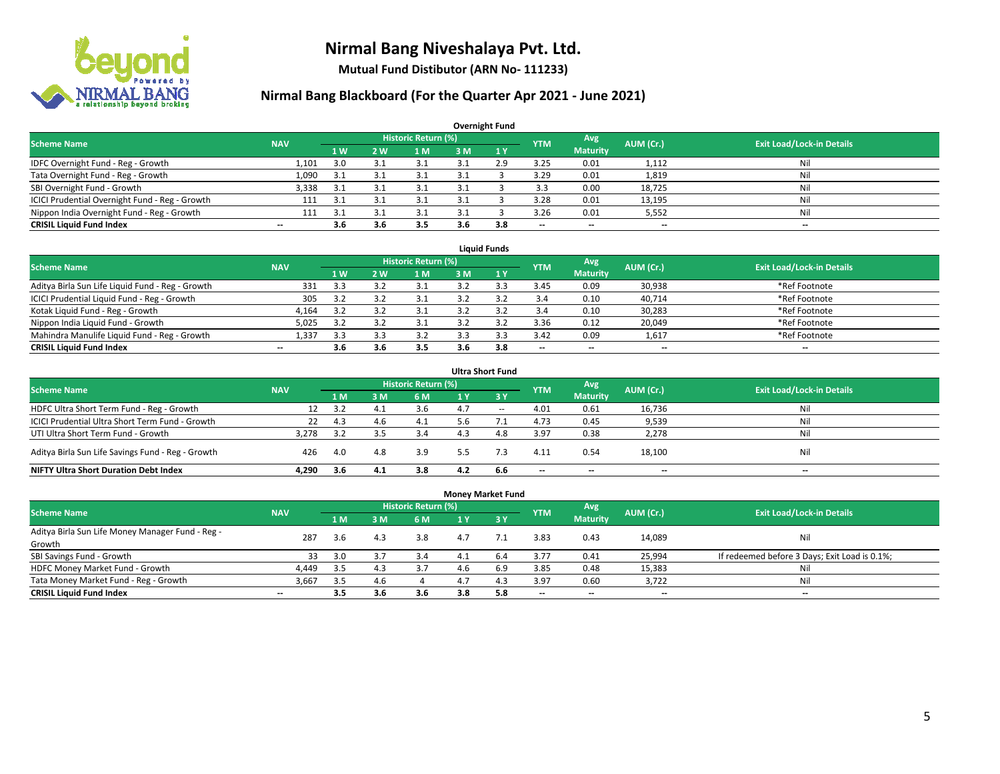

**Mutual Fund Distibutor (ARN No- 111233)**

| <b>Overnight Fund</b>                          |            |      |     |                            |      |     |                          |                          |           |                                  |  |  |  |  |
|------------------------------------------------|------------|------|-----|----------------------------|------|-----|--------------------------|--------------------------|-----------|----------------------------------|--|--|--|--|
| <b>Scheme Name</b>                             | <b>NAV</b> |      |     | <b>Historic Return (%)</b> |      |     | <b>YTM</b>               | Avg                      | AUM (Cr.) | <b>Exit Load/Lock-in Details</b> |  |  |  |  |
|                                                |            | 71 W | 2 W | 1 M                        | 3 M  | 1Y  |                          | <b>Maturity</b>          |           |                                  |  |  |  |  |
| IDFC Overnight Fund - Reg - Growth             | 1,101      | 3.0  |     | 21                         | ∹ ∗  | 2.9 | 3.25                     | 0.01                     | 1,112     | Nil                              |  |  |  |  |
| Tata Overnight Fund - Reg - Growth             | 1,090      | 3.1  |     | 3.1                        | 3.1  |     | 3.29                     | 0.01                     | 1,819     | Nil                              |  |  |  |  |
| SBI Overnight Fund - Growth                    | 3,338      | -3.1 |     | 3.1                        | -3.1 |     | 3.3                      | 0.00                     | 18,725    | Nil                              |  |  |  |  |
| ICICI Prudential Overnight Fund - Reg - Growth | 111        | -3.1 |     |                            |      |     | 3.28                     | 0.01                     | 13,195    | Nil                              |  |  |  |  |
| Nippon India Overnight Fund - Reg - Growth     | 111        | -21  |     | 21                         | -20  |     | 3.26                     | 0.01                     | 5,552     | Nil                              |  |  |  |  |
| <b>CRISIL Liquid Fund Index</b>                | $- -$      | 3.6  | 3.6 | 3.5                        | 3.6  | 3.8 | $\overline{\phantom{a}}$ | $\overline{\phantom{a}}$ | $- -$     | $-$                              |  |  |  |  |

| <b>Liauid Funds</b>                              |            |     |            |                     |     |     |                          |                          |           |                                  |  |  |  |
|--------------------------------------------------|------------|-----|------------|---------------------|-----|-----|--------------------------|--------------------------|-----------|----------------------------------|--|--|--|
| <b>Scheme Name</b>                               | <b>NAV</b> |     |            | Historic Return (%) |     |     | <b>YTM</b>               | Avg                      | AUM (Cr.) | <b>Exit Load/Lock-in Details</b> |  |  |  |
|                                                  |            | 1 W | <b>2 W</b> | 1 M                 | зM  |     |                          | <b>Maturity</b>          |           |                                  |  |  |  |
| Aditya Birla Sun Life Liquid Fund - Reg - Growth | 331        | 3.3 |            |                     |     |     | 3.45                     | 0.09                     | 30,938    | *Ref Footnote                    |  |  |  |
| ICICI Prudential Liquid Fund - Reg - Growth      | 305        | 3.2 |            |                     |     |     | 3.4                      | 0.10                     | 40,714    | *Ref Footnote                    |  |  |  |
| Kotak Liquid Fund - Reg - Growth                 | 4.164      | 3.2 |            |                     |     |     | 3.4                      | 0.10                     | 30,283    | *Ref Footnote                    |  |  |  |
| Nippon India Liquid Fund - Growth                | 5,025      | 33  |            |                     |     |     | 3.36                     | 0.12                     | 20,049    | *Ref Footnote                    |  |  |  |
| Mahindra Manulife Liquid Fund - Reg - Growth     | 1,337      | 3.3 |            | 3.2                 |     |     | 3.42                     | 0.09                     | 1,617     | *Ref Footnote                    |  |  |  |
| <b>CRISIL Liquid Fund Index</b>                  | $- -$      | 3.6 | 3.b        | 3.5                 | 3.6 | 3.8 | $\overline{\phantom{a}}$ | $\overline{\phantom{a}}$ | $- -$     | $- -$                            |  |  |  |

| <b>Ultra Short Fund</b>                           |            |     |     |                            |     |                  |                          |                          |           |                                  |  |  |  |
|---------------------------------------------------|------------|-----|-----|----------------------------|-----|------------------|--------------------------|--------------------------|-----------|----------------------------------|--|--|--|
| <b>Scheme Name</b>                                | <b>NAV</b> |     |     | <b>Historic Return (%)</b> |     |                  | <b>YTM</b>               | Avg                      | AUM (Cr.) | <b>Exit Load/Lock-in Details</b> |  |  |  |
|                                                   |            | 1 M | з м | 6 M                        | 1 Y | $\overline{3}$ Y |                          | <b>Maturity</b>          |           |                                  |  |  |  |
| HDFC Ultra Short Term Fund - Reg - Growth         | 12         | 3.2 | 4.1 | 3.6                        | 4.7 | $\sim$           | 4.01                     | 0.61                     | 16,736    | Nil                              |  |  |  |
| ICICI Prudential Ultra Short Term Fund - Growth   | 22         | 4.3 | 4.b | 4.1                        | 5.6 |                  | 4.73                     | 0.45                     | 9,539     | Ni                               |  |  |  |
| UTI Ultra Short Term Fund - Growth                | 3.278      | 3.2 |     | 3.4                        |     | 4.8              | 3.97                     | 0.38                     | 2,278     | Ni                               |  |  |  |
| Aditya Birla Sun Life Savings Fund - Reg - Growth | 426        | 4.0 | 4.8 | 3.9                        | 5.5 | 7.3              | 4.11                     | 0.54                     | 18,100    | Nil                              |  |  |  |
| <b>NIFTY Ultra Short Duration Debt Index</b>      | 4.290      | 3.6 | 4.1 | 3.8                        | 4.2 | 6.6              | $\overline{\phantom{a}}$ | $\overline{\phantom{a}}$ | $- -$     | $-$                              |  |  |  |

| <b>Money Market Fund</b>                         |                          |                |                |                            |     |           |            |                 |           |                                               |  |  |  |  |
|--------------------------------------------------|--------------------------|----------------|----------------|----------------------------|-----|-----------|------------|-----------------|-----------|-----------------------------------------------|--|--|--|--|
| <b>Scheme Name</b>                               | <b>NAV</b>               |                |                | <b>Historic Return (%)</b> |     |           | <b>YTM</b> | Avg             | AUM (Cr.) | <b>Exit Load/Lock-in Details</b>              |  |  |  |  |
|                                                  |                          | 1 <sub>M</sub> | 3 <sub>M</sub> | 6 M                        | 1 Y | $Z$ 3 $Y$ |            | <b>Maturity</b> |           |                                               |  |  |  |  |
| Aditya Birla Sun Life Money Manager Fund - Reg - | 287                      |                | 4.3            | 3.8                        | 4.7 |           | 3.83       | 0.43            | 14,089    | Nil                                           |  |  |  |  |
| Growth                                           |                          | 3.6            |                |                            |     |           |            |                 |           |                                               |  |  |  |  |
| SBI Savings Fund - Growth                        | 33                       | 3.0            |                | 3.4                        |     | 6.4       | 3.77       | 0.41            | 25,994    | If redeemed before 3 Days; Exit Load is 0.1%; |  |  |  |  |
| HDFC Money Market Fund - Growth                  | 4,449                    | 3.5            | 4.3            |                            |     | 6.9       | 3.85       | 0.48            | 15,383    | Nil                                           |  |  |  |  |
| Tata Money Market Fund - Reg - Growth            | 3,667                    | 3.5            | 4.6            |                            |     | 4.3       | 3.97       | 0.60            | 3,722     | Nil                                           |  |  |  |  |
| <b>CRISIL Liquid Fund Index</b>                  | $\overline{\phantom{a}}$ | 3.5            | 3.6            | 3.6                        | 3.8 | 5.8       | $- -$      | $- -$           | $- -$     | --                                            |  |  |  |  |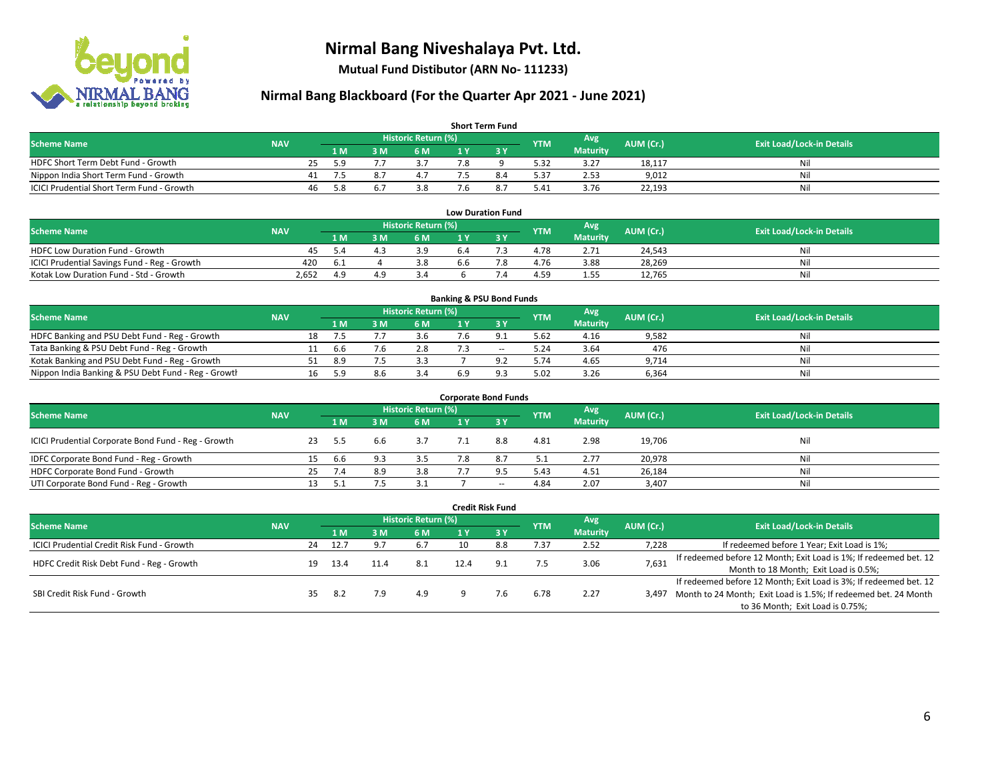

**Mutual Fund Distibutor (ARN No- 111233)**

| <b>Short Term Fund</b>                    |            |    |      |     |                            |     |  |            |                 |           |                                  |  |  |  |
|-------------------------------------------|------------|----|------|-----|----------------------------|-----|--|------------|-----------------|-----------|----------------------------------|--|--|--|
| <b>Scheme Name</b>                        | <b>NAV</b> |    |      |     | <b>Historic Return (%)</b> |     |  | <b>YTM</b> | Avg             | AUM (Cr.) | <b>Exit Load/Lock-in Details</b> |  |  |  |
|                                           |            |    | 1 M. | 3 M | 6 M                        | 1 V |  |            | <b>Maturity</b> |           |                                  |  |  |  |
| HDFC Short Term Debt Fund - Growth        |            | 25 | 59   |     |                            |     |  | 5.32       | 3.27            | 18,117    | Nil                              |  |  |  |
| Nippon India Short Term Fund - Growth     |            | 41 | 7.5  |     |                            |     |  | 5.37       | 2.53            | 9,012     | Nil                              |  |  |  |
| ICICI Prudential Short Term Fund - Growth |            | 46 | -5.8 |     | 3.8                        |     |  | 5.41       | 3.76            | 22,193    | Nil                              |  |  |  |

| <b>Low Duration Fund</b>                     |            |     |  |                     |     |  |            |                 |           |                                  |  |  |  |  |
|----------------------------------------------|------------|-----|--|---------------------|-----|--|------------|-----------------|-----------|----------------------------------|--|--|--|--|
| <b>Scheme Name</b>                           | <b>NAV</b> |     |  | Historic Return (%) |     |  | <b>YTM</b> | Avg             | AUM (Cr.) | <b>Exit Load/Lock-in Details</b> |  |  |  |  |
|                                              |            | 1 M |  | 6 M                 |     |  |            | <b>Maturity</b> |           |                                  |  |  |  |  |
| <b>HDFC Low Duration Fund - Growth</b>       | 45.        | 5 A |  | 3.9                 | b.4 |  | 4.78       | 2.71            | 24,543    | Nil                              |  |  |  |  |
| ICICI Prudential Savings Fund - Reg - Growth | 420        | .6. |  | 3.8                 | 6.6 |  | 4.76       | 3.88            | 28,269    | Nil                              |  |  |  |  |
| Kotak Low Duration Fund - Std - Growth       | 2.652      | 4 q |  |                     |     |  | 4.59       | 1.55            | 12.765    | Nil                              |  |  |  |  |

| <b>Banking &amp; PSU Bond Funds</b>                 |            |    |     |     |                     |     |          |            |                 |           |                                  |  |  |  |
|-----------------------------------------------------|------------|----|-----|-----|---------------------|-----|----------|------------|-----------------|-----------|----------------------------------|--|--|--|
| <b>Scheme Name</b>                                  | <b>NAV</b> |    |     |     | Historic Return (%) |     |          | <b>YTM</b> | Avg             | AUM (Cr.) | <b>Exit Load/Lock-in Details</b> |  |  |  |
|                                                     |            |    | 1 M | . M | <b>6M</b>           |     |          |            | <b>Maturity</b> |           |                                  |  |  |  |
| HDFC Banking and PSU Debt Fund - Reg - Growth       |            | 18 |     |     | 3.b                 |     |          | 5.62       | 4.16            | 9,582     | Nil                              |  |  |  |
| Tata Banking & PSU Debt Fund - Reg - Growth         |            |    | b.b |     | 2.8                 |     | $\sim$   | 5.24       | 3.64            | 476       | Nil                              |  |  |  |
| Kotak Banking and PSU Debt Fund - Reg - Growth      |            | 51 | 8.9 |     | 3.3                 |     |          | 5.74       | 4.65            | 9.714     | Nil                              |  |  |  |
| Nippon India Banking & PSU Debt Fund - Reg - Growth |            | 16 |     | 8.6 | 3.4                 | 6.9 | $\Omega$ | 5.02       | 3.26            | 6,364     | Nil                              |  |  |  |

| <b>Corporate Bond Funds</b>                         |            |    |     |     |                            |  |       |                 |      |           |                                  |  |  |
|-----------------------------------------------------|------------|----|-----|-----|----------------------------|--|-------|-----------------|------|-----------|----------------------------------|--|--|
| <b>Scheme Name</b>                                  | <b>NAV</b> |    |     |     | <b>Historic Return (%)</b> |  |       | <b>YTM</b>      | Avg  | AUM (Cr.) | <b>Exit Load/Lock-in Details</b> |  |  |
|                                                     |            |    | 1 M | : M | 6 M                        |  | 2V    | <b>Maturity</b> |      |           |                                  |  |  |
| ICICI Prudential Corporate Bond Fund - Reg - Growth |            | 23 | 5.5 | b.b |                            |  | 8.8   | 4.81            | 2.98 | 19,706    | Nil                              |  |  |
| IDFC Corporate Bond Fund - Reg - Growth             |            |    | b.b | 9.3 | 3.5                        |  | 8.7   | 5.1             | 2.77 | 20,978    | Nil                              |  |  |
| HDFC Corporate Bond Fund - Growth                   |            | 25 | 7.4 | 8.9 | 3.8                        |  | 9.5   | 5.43            | 4.51 | 26,184    | Nil                              |  |  |
| UTI Corporate Bond Fund - Reg - Growth              |            |    |     |     |                            |  | $- -$ | 4.84            | 2.07 | 3,407     | Nil                              |  |  |

| Credit Risk Fund                           |            |    |      |     |                            |     |        |            |                 |           |                                                                       |  |  |
|--------------------------------------------|------------|----|------|-----|----------------------------|-----|--------|------------|-----------------|-----------|-----------------------------------------------------------------------|--|--|
| <b>Scheme Name</b>                         | <b>NAV</b> |    |      |     | <b>Historic Return (%)</b> |     |        | <b>YTM</b> | Avg             | AUM (Cr.) | <b>Exit Load/Lock-in Details</b>                                      |  |  |
|                                            |            |    | 7 M  | : M | 6 M                        | 1 Y | $Z_3V$ |            | <b>Maturity</b> |           |                                                                       |  |  |
| ICICI Prudential Credit Risk Fund - Growth |            | 24 | 12.7 | 9.7 | 6.7                        |     | 8.8    | 7.37       | 2.52            | 7,228     | If redeemed before 1 Year; Exit Load is 1%;                           |  |  |
| HDFC Credit Risk Debt Fund - Reg - Growth  |            |    |      |     | 8.1                        |     |        | 7.5        | 3.06            | 7,631     | If redeemed before 12 Month; Exit Load is 1%; If redeemed bet. 12     |  |  |
|                                            |            | 19 | 13.4 |     |                            |     |        |            |                 |           | Month to 18 Month; Exit Load is 0.5%;                                 |  |  |
|                                            |            |    |      |     |                            |     |        |            |                 |           | If redeemed before 12 Month; Exit Load is 3%; If redeemed bet. 12     |  |  |
| SBI Credit Risk Fund - Growth              |            | 35 | -8.2 | 7.9 | 4.9                        |     | 7.6    | 6.78       | 2.27            |           | 3,497 Month to 24 Month; Exit Load is 1.5%; If redeemed bet. 24 Month |  |  |
|                                            |            |    |      |     |                            |     |        |            |                 |           | to 36 Month; Exit Load is 0.75%;                                      |  |  |